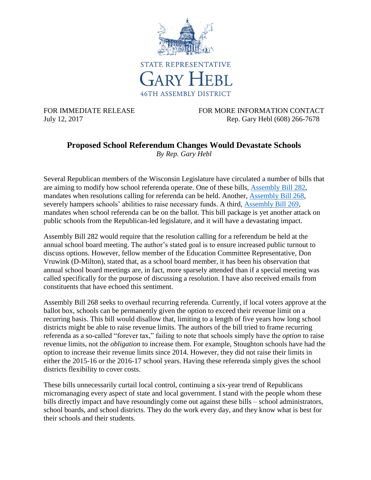

FOR IMMEDIATE RELEASE FOR MORE INFORMATION CONTACT July 12, 2017 Rep. Gary Hebl (608) 266-7678

## **Proposed School Referendum Changes Would Devastate Schools**

*By Rep. Gary Hebl*

Several Republican members of the Wisconsin Legislature have circulated a number of bills that are aiming to modify how school referenda operate. One of these bills, [Assembly Bill 282,](http://docs.legis.wisconsin.gov/2017/proposals/ab282) mandates when resolutions calling for referenda can be held. Another, [Assembly Bill 268,](http://docs.legis.wisconsin.gov/2017/proposals/ab268) severely hampers schools' abilities to raise necessary funds. A third, [Assembly Bill 269,](http://docs.legis.wisconsin.gov/2017/proposals/ab269) mandates when school referenda can be on the ballot. This bill package is yet another attack on public schools from the Republican-led legislature, and it will have a devastating impact.

Assembly Bill 282 would require that the resolution calling for a referendum be held at the annual school board meeting. The author's stated goal is to ensure increased public turnout to discuss options. However, fellow member of the Education Committee Representative, Don Vruwink (D-Milton), stated that, as a school board member, it has been his observation that annual school board meetings are, in fact, more sparsely attended than if a special meeting was called specifically for the purpose of discussing a resolution. I have also received emails from constituents that have echoed this sentiment.

Assembly Bill 268 seeks to overhaul recurring referenda. Currently, if local voters approve at the ballot box, schools can be permanently given the option to exceed their revenue limit on a recurring basis. This bill would disallow that, limiting to a length of five years how long school districts might be able to raise revenue limits. The authors of the bill tried to frame recurring referenda as a so-called "forever tax," failing to note that schools simply have the *option* to raise revenue limits, not the *obligation* to increase them. For example, Stoughton schools have had the option to increase their revenue limits since 2014. However, they did not raise their limits in either the 2015-16 or the 2016-17 school years. Having these referenda simply gives the school districts flexibility to cover costs.

These bills unnecessarily curtail local control, continuing a six-year trend of Republicans micromanaging every aspect of state and local government. I stand with the people whom these bills directly impact and have resoundingly come out against these bills – school administrators, school boards, and school districts. They do the work every day, and they know what is best for their schools and their students.